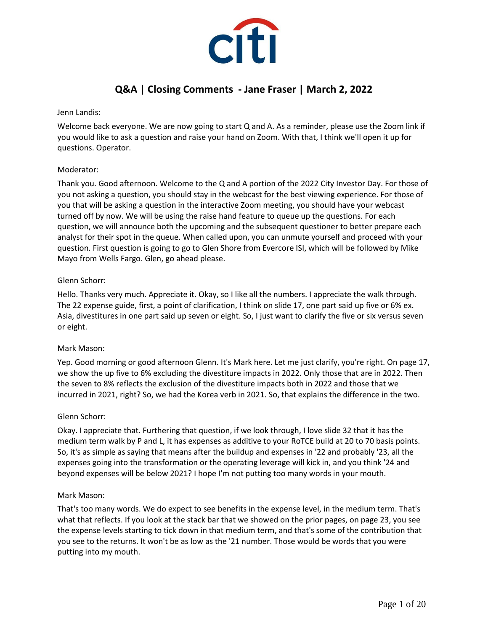

# **Q&A | Closing Comments - Jane Fraser | March 2, 2022**

Jenn Landis:

Welcome back everyone. We are now going to start Q and A. As a reminder, please use the Zoom link if you would like to ask a question and raise your hand on Zoom. With that, I think we'll open it up for questions. Operator.

# Moderator:

Thank you. Good afternoon. Welcome to the Q and A portion of the 2022 City Investor Day. For those of you not asking a question, you should stay in the webcast for the best viewing experience. For those of you that will be asking a question in the interactive Zoom meeting, you should have your webcast turned off by now. We will be using the raise hand feature to queue up the questions. For each question, we will announce both the upcoming and the subsequent questioner to better prepare each analyst for their spot in the queue. When called upon, you can unmute yourself and proceed with your question. First question is going to go to Glen Shore from Evercore ISI, which will be followed by Mike Mayo from Wells Fargo. Glen, go ahead please.

# Glenn Schorr:

Hello. Thanks very much. Appreciate it. Okay, so I like all the numbers. I appreciate the walk through. The 22 expense guide, first, a point of clarification, I think on slide 17, one part said up five or 6% ex. Asia, divestitures in one part said up seven or eight. So, I just want to clarify the five or six versus seven or eight.

# Mark Mason:

Yep. Good morning or good afternoon Glenn. It's Mark here. Let me just clarify, you're right. On page 17, we show the up five to 6% excluding the divestiture impacts in 2022. Only those that are in 2022. Then the seven to 8% reflects the exclusion of the divestiture impacts both in 2022 and those that we incurred in 2021, right? So, we had the Korea verb in 2021. So, that explains the difference in the two.

# Glenn Schorr:

Okay. I appreciate that. Furthering that question, if we look through, I love slide 32 that it has the medium term walk by P and L, it has expenses as additive to your RoTCE build at 20 to 70 basis points. So, it's as simple as saying that means after the buildup and expenses in '22 and probably '23, all the expenses going into the transformation or the operating leverage will kick in, and you think '24 and beyond expenses will be below 2021? I hope I'm not putting too many words in your mouth.

#### Mark Mason:

That's too many words. We do expect to see benefits in the expense level, in the medium term. That's what that reflects. If you look at the stack bar that we showed on the prior pages, on page 23, you see the expense levels starting to tick down in that medium term, and that's some of the contribution that you see to the returns. It won't be as low as the '21 number. Those would be words that you were putting into my mouth.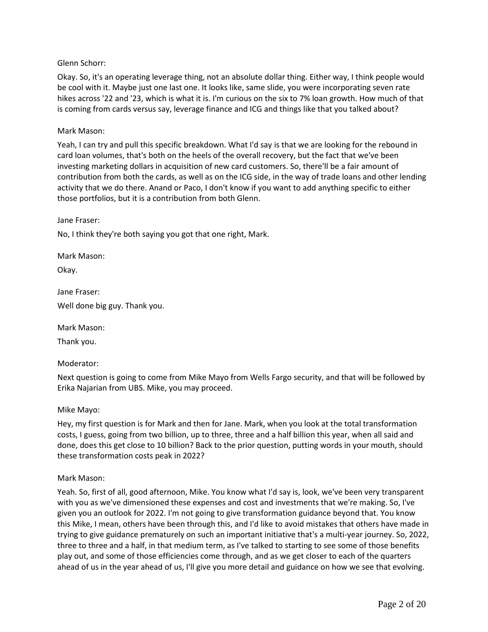# Glenn Schorr:

Okay. So, it's an operating leverage thing, not an absolute dollar thing. Either way, I think people would be cool with it. Maybe just one last one. It looks like, same slide, you were incorporating seven rate hikes across '22 and '23, which is what it is. I'm curious on the six to 7% loan growth. How much of that is coming from cards versus say, leverage finance and ICG and things like that you talked about?

#### Mark Mason:

Yeah, I can try and pull this specific breakdown. What I'd say is that we are looking for the rebound in card loan volumes, that's both on the heels of the overall recovery, but the fact that we've been investing marketing dollars in acquisition of new card customers. So, there'll be a fair amount of contribution from both the cards, as well as on the ICG side, in the way of trade loans and other lending activity that we do there. Anand or Paco, I don't know if you want to add anything specific to either those portfolios, but it is a contribution from both Glenn.

#### Jane Fraser:

No, I think they're both saying you got that one right, Mark.

Mark Mason:

Okay.

Jane Fraser: Well done big guy. Thank you.

Mark Mason:

Thank you.

#### Moderator:

Next question is going to come from Mike Mayo from Wells Fargo security, and that will be followed by Erika Najarian from UBS. Mike, you may proceed.

#### Mike Mayo:

Hey, my first question is for Mark and then for Jane. Mark, when you look at the total transformation costs, I guess, going from two billion, up to three, three and a half billion this year, when all said and done, does this get close to 10 billion? Back to the prior question, putting words in your mouth, should these transformation costs peak in 2022?

#### Mark Mason:

Yeah. So, first of all, good afternoon, Mike. You know what I'd say is, look, we've been very transparent with you as we've dimensioned these expenses and cost and investments that we're making. So, I've given you an outlook for 2022. I'm not going to give transformation guidance beyond that. You know this Mike, I mean, others have been through this, and I'd like to avoid mistakes that others have made in trying to give guidance prematurely on such an important initiative that's a multi-year journey. So, 2022, three to three and a half, in that medium term, as I've talked to starting to see some of those benefits play out, and some of those efficiencies come through, and as we get closer to each of the quarters ahead of us in the year ahead of us, I'll give you more detail and guidance on how we see that evolving.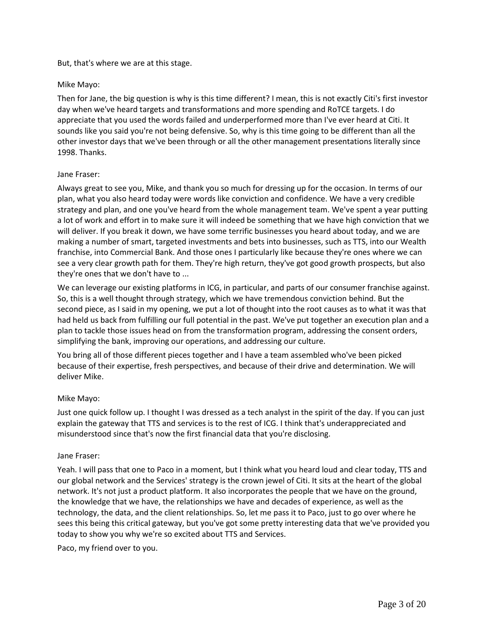## But, that's where we are at this stage.

## Mike Mayo:

Then for Jane, the big question is why is this time different? I mean, this is not exactly Citi's first investor day when we've heard targets and transformations and more spending and RoTCE targets. I do appreciate that you used the words failed and underperformed more than I've ever heard at Citi. It sounds like you said you're not being defensive. So, why is this time going to be different than all the other investor days that we've been through or all the other management presentations literally since 1998. Thanks.

## Jane Fraser:

Always great to see you, Mike, and thank you so much for dressing up for the occasion. In terms of our plan, what you also heard today were words like conviction and confidence. We have a very credible strategy and plan, and one you've heard from the whole management team. We've spent a year putting a lot of work and effort in to make sure it will indeed be something that we have high conviction that we will deliver. If you break it down, we have some terrific businesses you heard about today, and we are making a number of smart, targeted investments and bets into businesses, such as TTS, into our Wealth franchise, into Commercial Bank. And those ones I particularly like because they're ones where we can see a very clear growth path for them. They're high return, they've got good growth prospects, but also they're ones that we don't have to ...

We can leverage our existing platforms in ICG, in particular, and parts of our consumer franchise against. So, this is a well thought through strategy, which we have tremendous conviction behind. But the second piece, as I said in my opening, we put a lot of thought into the root causes as to what it was that had held us back from fulfilling our full potential in the past. We've put together an execution plan and a plan to tackle those issues head on from the transformation program, addressing the consent orders, simplifying the bank, improving our operations, and addressing our culture.

You bring all of those different pieces together and I have a team assembled who've been picked because of their expertise, fresh perspectives, and because of their drive and determination. We will deliver Mike.

# Mike Mayo:

Just one quick follow up. I thought I was dressed as a tech analyst in the spirit of the day. If you can just explain the gateway that TTS and services is to the rest of ICG. I think that's underappreciated and misunderstood since that's now the first financial data that you're disclosing.

#### Jane Fraser:

Yeah. I will pass that one to Paco in a moment, but I think what you heard loud and clear today, TTS and our global network and the Services' strategy is the crown jewel of Citi. It sits at the heart of the global network. It's not just a product platform. It also incorporates the people that we have on the ground, the knowledge that we have, the relationships we have and decades of experience, as well as the technology, the data, and the client relationships. So, let me pass it to Paco, just to go over where he sees this being this critical gateway, but you've got some pretty interesting data that we've provided you today to show you why we're so excited about TTS and Services.

Paco, my friend over to you.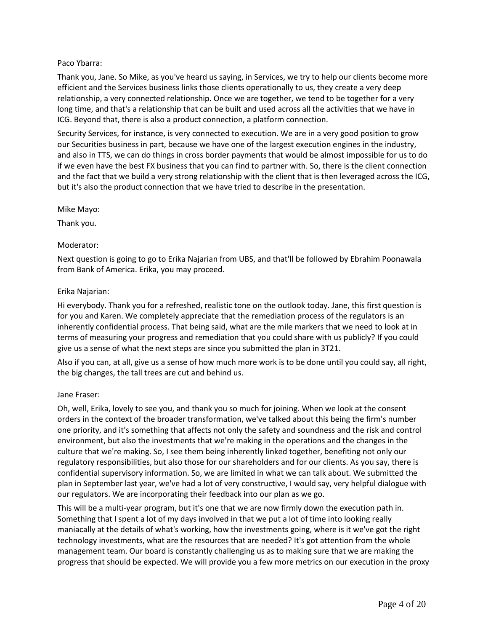# Paco Ybarra:

Thank you, Jane. So Mike, as you've heard us saying, in Services, we try to help our clients become more efficient and the Services business links those clients operationally to us, they create a very deep relationship, a very connected relationship. Once we are together, we tend to be together for a very long time, and that's a relationship that can be built and used across all the activities that we have in ICG. Beyond that, there is also a product connection, a platform connection.

Security Services, for instance, is very connected to execution. We are in a very good position to grow our Securities business in part, because we have one of the largest execution engines in the industry, and also in TTS, we can do things in cross border payments that would be almost impossible for us to do if we even have the best FX business that you can find to partner with. So, there is the client connection and the fact that we build a very strong relationship with the client that is then leveraged across the ICG, but it's also the product connection that we have tried to describe in the presentation.

Mike Mayo:

Thank you.

# Moderator:

Next question is going to go to Erika Najarian from UBS, and that'll be followed by Ebrahim Poonawala from Bank of America. Erika, you may proceed.

# Erika Najarian:

Hi everybody. Thank you for a refreshed, realistic tone on the outlook today. Jane, this first question is for you and Karen. We completely appreciate that the remediation process of the regulators is an inherently confidential process. That being said, what are the mile markers that we need to look at in terms of measuring your progress and remediation that you could share with us publicly? If you could give us a sense of what the next steps are since you submitted the plan in 3T21.

Also if you can, at all, give us a sense of how much more work is to be done until you could say, all right, the big changes, the tall trees are cut and behind us.

# Jane Fraser:

Oh, well, Erika, lovely to see you, and thank you so much for joining. When we look at the consent orders in the context of the broader transformation, we've talked about this being the firm's number one priority, and it's something that affects not only the safety and soundness and the risk and control environment, but also the investments that we're making in the operations and the changes in the culture that we're making. So, I see them being inherently linked together, benefiting not only our regulatory responsibilities, but also those for our shareholders and for our clients. As you say, there is confidential supervisory information. So, we are limited in what we can talk about. We submitted the plan in September last year, we've had a lot of very constructive, I would say, very helpful dialogue with our regulators. We are incorporating their feedback into our plan as we go.

This will be a multi-year program, but it's one that we are now firmly down the execution path in. Something that I spent a lot of my days involved in that we put a lot of time into looking really maniacally at the details of what's working, how the investments going, where is it we've got the right technology investments, what are the resources that are needed? It's got attention from the whole management team. Our board is constantly challenging us as to making sure that we are making the progress that should be expected. We will provide you a few more metrics on our execution in the proxy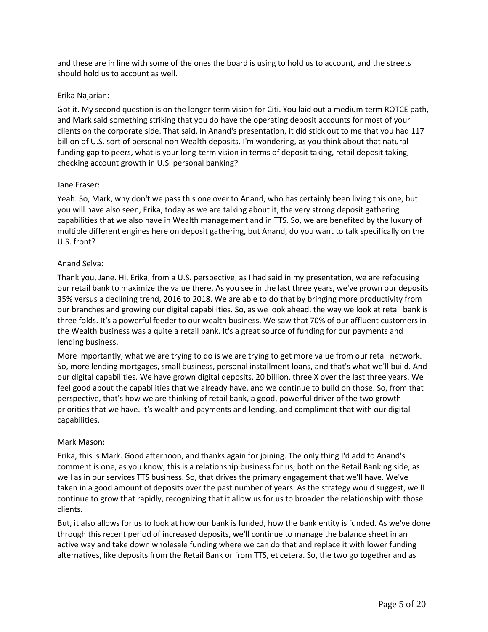and these are in line with some of the ones the board is using to hold us to account, and the streets should hold us to account as well.

## Erika Najarian:

Got it. My second question is on the longer term vision for Citi. You laid out a medium term ROTCE path, and Mark said something striking that you do have the operating deposit accounts for most of your clients on the corporate side. That said, in Anand's presentation, it did stick out to me that you had 117 billion of U.S. sort of personal non Wealth deposits. I'm wondering, as you think about that natural funding gap to peers, what is your long-term vision in terms of deposit taking, retail deposit taking, checking account growth in U.S. personal banking?

## Jane Fraser:

Yeah. So, Mark, why don't we pass this one over to Anand, who has certainly been living this one, but you will have also seen, Erika, today as we are talking about it, the very strong deposit gathering capabilities that we also have in Wealth management and in TTS. So, we are benefited by the luxury of multiple different engines here on deposit gathering, but Anand, do you want to talk specifically on the U.S. front?

## Anand Selva:

Thank you, Jane. Hi, Erika, from a U.S. perspective, as I had said in my presentation, we are refocusing our retail bank to maximize the value there. As you see in the last three years, we've grown our deposits 35% versus a declining trend, 2016 to 2018. We are able to do that by bringing more productivity from our branches and growing our digital capabilities. So, as we look ahead, the way we look at retail bank is three folds. It's a powerful feeder to our wealth business. We saw that 70% of our affluent customers in the Wealth business was a quite a retail bank. It's a great source of funding for our payments and lending business.

More importantly, what we are trying to do is we are trying to get more value from our retail network. So, more lending mortgages, small business, personal installment loans, and that's what we'll build. And our digital capabilities. We have grown digital deposits, 20 billion, three X over the last three years. We feel good about the capabilities that we already have, and we continue to build on those. So, from that perspective, that's how we are thinking of retail bank, a good, powerful driver of the two growth priorities that we have. It's wealth and payments and lending, and compliment that with our digital capabilities.

# Mark Mason:

Erika, this is Mark. Good afternoon, and thanks again for joining. The only thing I'd add to Anand's comment is one, as you know, this is a relationship business for us, both on the Retail Banking side, as well as in our services TTS business. So, that drives the primary engagement that we'll have. We've taken in a good amount of deposits over the past number of years. As the strategy would suggest, we'll continue to grow that rapidly, recognizing that it allow us for us to broaden the relationship with those clients.

But, it also allows for us to look at how our bank is funded, how the bank entity is funded. As we've done through this recent period of increased deposits, we'll continue to manage the balance sheet in an active way and take down wholesale funding where we can do that and replace it with lower funding alternatives, like deposits from the Retail Bank or from TTS, et cetera. So, the two go together and as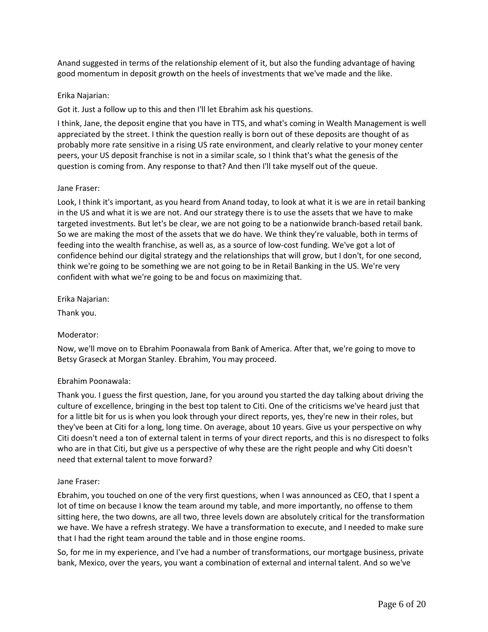Anand suggested in terms of the relationship element of it, but also the funding advantage of having good momentum in deposit growth on the heels of investments that we've made and the like.

# Erika Najarian:

Got it. Just a follow up to this and then I'll let Ebrahim ask his questions.

I think, Jane, the deposit engine that you have in TTS, and what's coming in Wealth Management is well appreciated by the street. I think the question really is born out of these deposits are thought of as probably more rate sensitive in a rising US rate environment, and clearly relative to your money center peers, your US deposit franchise is not in a similar scale, so I think that's what the genesis of the question is coming from. Any response to that? And then I'll take myself out of the queue.

## Jane Fraser:

Look, I think it's important, as you heard from Anand today, to look at what it is we are in retail banking in the US and what it is we are not. And our strategy there is to use the assets that we have to make targeted investments. But let's be clear, we are not going to be a nationwide branch-based retail bank. So we are making the most of the assets that we do have. We think they're valuable, both in terms of feeding into the wealth franchise, as well as, as a source of low-cost funding. We've got a lot of confidence behind our digital strategy and the relationships that will grow, but I don't, for one second, think we're going to be something we are not going to be in Retail Banking in the US. We're very confident with what we're going to be and focus on maximizing that.

Erika Najarian:

Thank you.

# Moderator:

Now, we'll move on to Ebrahim Poonawala from Bank of America. After that, we're going to move to Betsy Graseck at Morgan Stanley. Ebrahim, You may proceed.

# Ebrahim Poonawala:

Thank you. I guess the first question, Jane, for you around you started the day talking about driving the culture of excellence, bringing in the best top talent to Citi. One of the criticisms we've heard just that for a little bit for us is when you look through your direct reports, yes, they're new in their roles, but they've been at Citi for a long, long time. On average, about 10 years. Give us your perspective on why Citi doesn't need a ton of external talent in terms of your direct reports, and this is no disrespect to folks who are in that Citi, but give us a perspective of why these are the right people and why Citi doesn't need that external talent to move forward?

#### Jane Fraser:

Ebrahim, you touched on one of the very first questions, when I was announced as CEO, that I spent a lot of time on because I know the team around my table, and more importantly, no offense to them sitting here, the two downs, are all two, three levels down are absolutely critical for the transformation we have. We have a refresh strategy. We have a transformation to execute, and I needed to make sure that I had the right team around the table and in those engine rooms.

So, for me in my experience, and I've had a number of transformations, our mortgage business, private bank, Mexico, over the years, you want a combination of external and internal talent. And so we've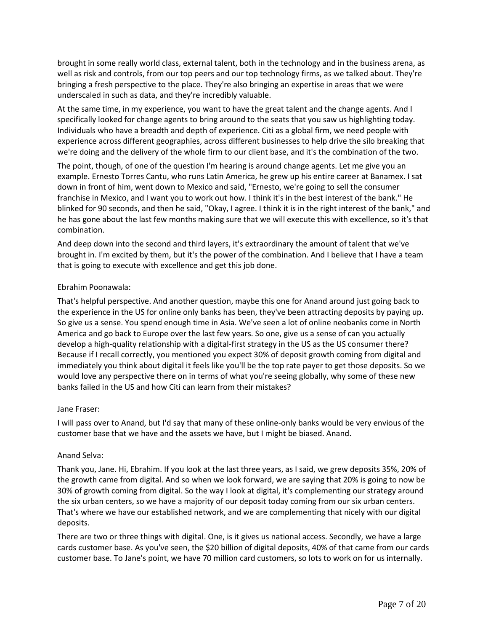brought in some really world class, external talent, both in the technology and in the business arena, as well as risk and controls, from our top peers and our top technology firms, as we talked about. They're bringing a fresh perspective to the place. They're also bringing an expertise in areas that we were underscaled in such as data, and they're incredibly valuable.

At the same time, in my experience, you want to have the great talent and the change agents. And I specifically looked for change agents to bring around to the seats that you saw us highlighting today. Individuals who have a breadth and depth of experience. Citi as a global firm, we need people with experience across different geographies, across different businesses to help drive the silo breaking that we're doing and the delivery of the whole firm to our client base, and it's the combination of the two.

The point, though, of one of the question I'm hearing is around change agents. Let me give you an example. Ernesto Torres Cantu, who runs Latin America, he grew up his entire career at Banamex. I sat down in front of him, went down to Mexico and said, "Ernesto, we're going to sell the consumer franchise in Mexico, and I want you to work out how. I think it's in the best interest of the bank." He blinked for 90 seconds, and then he said, "Okay, I agree. I think it is in the right interest of the bank," and he has gone about the last few months making sure that we will execute this with excellence, so it's that combination.

And deep down into the second and third layers, it's extraordinary the amount of talent that we've brought in. I'm excited by them, but it's the power of the combination. And I believe that I have a team that is going to execute with excellence and get this job done.

# Ebrahim Poonawala:

That's helpful perspective. And another question, maybe this one for Anand around just going back to the experience in the US for online only banks has been, they've been attracting deposits by paying up. So give us a sense. You spend enough time in Asia. We've seen a lot of online neobanks come in North America and go back to Europe over the last few years. So one, give us a sense of can you actually develop a high-quality relationship with a digital-first strategy in the US as the US consumer there? Because if I recall correctly, you mentioned you expect 30% of deposit growth coming from digital and immediately you think about digital it feels like you'll be the top rate payer to get those deposits. So we would love any perspective there on in terms of what you're seeing globally, why some of these new banks failed in the US and how Citi can learn from their mistakes?

# Jane Fraser:

I will pass over to Anand, but I'd say that many of these online-only banks would be very envious of the customer base that we have and the assets we have, but I might be biased. Anand.

# Anand Selva:

Thank you, Jane. Hi, Ebrahim. If you look at the last three years, as I said, we grew deposits 35%, 20% of the growth came from digital. And so when we look forward, we are saying that 20% is going to now be 30% of growth coming from digital. So the way I look at digital, it's complementing our strategy around the six urban centers, so we have a majority of our deposit today coming from our six urban centers. That's where we have our established network, and we are complementing that nicely with our digital deposits.

There are two or three things with digital. One, is it gives us national access. Secondly, we have a large cards customer base. As you've seen, the \$20 billion of digital deposits, 40% of that came from our cards customer base. To Jane's point, we have 70 million card customers, so lots to work on for us internally.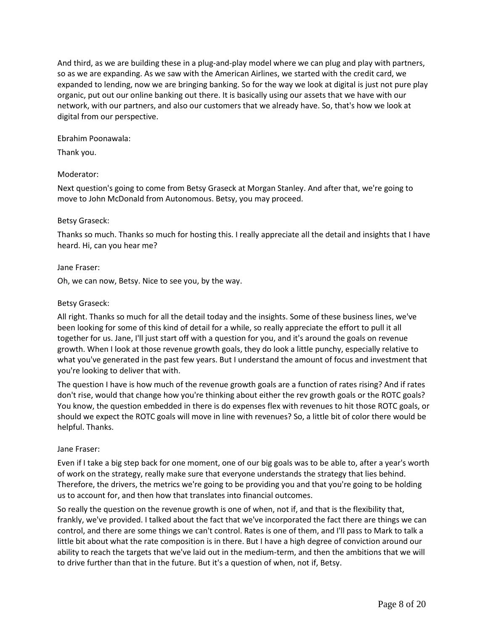And third, as we are building these in a plug-and-play model where we can plug and play with partners, so as we are expanding. As we saw with the American Airlines, we started with the credit card, we expanded to lending, now we are bringing banking. So for the way we look at digital is just not pure play organic, put out our online banking out there. It is basically using our assets that we have with our network, with our partners, and also our customers that we already have. So, that's how we look at digital from our perspective.

## Ebrahim Poonawala:

Thank you.

# Moderator:

Next question's going to come from Betsy Graseck at Morgan Stanley. And after that, we're going to move to John McDonald from Autonomous. Betsy, you may proceed.

# Betsy Graseck:

Thanks so much. Thanks so much for hosting this. I really appreciate all the detail and insights that I have heard. Hi, can you hear me?

## Jane Fraser:

Oh, we can now, Betsy. Nice to see you, by the way.

## Betsy Graseck:

All right. Thanks so much for all the detail today and the insights. Some of these business lines, we've been looking for some of this kind of detail for a while, so really appreciate the effort to pull it all together for us. Jane, I'll just start off with a question for you, and it's around the goals on revenue growth. When I look at those revenue growth goals, they do look a little punchy, especially relative to what you've generated in the past few years. But I understand the amount of focus and investment that you're looking to deliver that with.

The question I have is how much of the revenue growth goals are a function of rates rising? And if rates don't rise, would that change how you're thinking about either the rev growth goals or the ROTC goals? You know, the question embedded in there is do expenses flex with revenues to hit those ROTC goals, or should we expect the ROTC goals will move in line with revenues? So, a little bit of color there would be helpful. Thanks.

# Jane Fraser:

Even if I take a big step back for one moment, one of our big goals was to be able to, after a year's worth of work on the strategy, really make sure that everyone understands the strategy that lies behind. Therefore, the drivers, the metrics we're going to be providing you and that you're going to be holding us to account for, and then how that translates into financial outcomes.

So really the question on the revenue growth is one of when, not if, and that is the flexibility that, frankly, we've provided. I talked about the fact that we've incorporated the fact there are things we can control, and there are some things we can't control. Rates is one of them, and I'll pass to Mark to talk a little bit about what the rate composition is in there. But I have a high degree of conviction around our ability to reach the targets that we've laid out in the medium-term, and then the ambitions that we will to drive further than that in the future. But it's a question of when, not if, Betsy.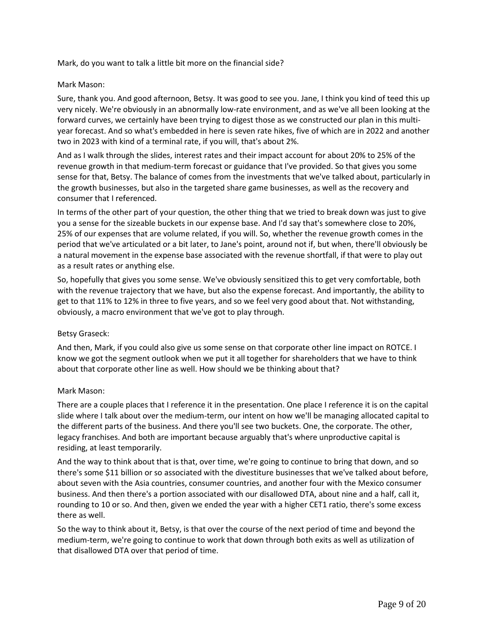Mark, do you want to talk a little bit more on the financial side?

## Mark Mason:

Sure, thank you. And good afternoon, Betsy. It was good to see you. Jane, I think you kind of teed this up very nicely. We're obviously in an abnormally low-rate environment, and as we've all been looking at the forward curves, we certainly have been trying to digest those as we constructed our plan in this multiyear forecast. And so what's embedded in here is seven rate hikes, five of which are in 2022 and another two in 2023 with kind of a terminal rate, if you will, that's about 2%.

And as I walk through the slides, interest rates and their impact account for about 20% to 25% of the revenue growth in that medium-term forecast or guidance that I've provided. So that gives you some sense for that, Betsy. The balance of comes from the investments that we've talked about, particularly in the growth businesses, but also in the targeted share game businesses, as well as the recovery and consumer that I referenced.

In terms of the other part of your question, the other thing that we tried to break down was just to give you a sense for the sizeable buckets in our expense base. And I'd say that's somewhere close to 20%, 25% of our expenses that are volume related, if you will. So, whether the revenue growth comes in the period that we've articulated or a bit later, to Jane's point, around not if, but when, there'll obviously be a natural movement in the expense base associated with the revenue shortfall, if that were to play out as a result rates or anything else.

So, hopefully that gives you some sense. We've obviously sensitized this to get very comfortable, both with the revenue trajectory that we have, but also the expense forecast. And importantly, the ability to get to that 11% to 12% in three to five years, and so we feel very good about that. Not withstanding, obviously, a macro environment that we've got to play through.

# Betsy Graseck:

And then, Mark, if you could also give us some sense on that corporate other line impact on ROTCE. I know we got the segment outlook when we put it all together for shareholders that we have to think about that corporate other line as well. How should we be thinking about that?

# Mark Mason:

There are a couple places that I reference it in the presentation. One place I reference it is on the capital slide where I talk about over the medium-term, our intent on how we'll be managing allocated capital to the different parts of the business. And there you'll see two buckets. One, the corporate. The other, legacy franchises. And both are important because arguably that's where unproductive capital is residing, at least temporarily.

And the way to think about that is that, over time, we're going to continue to bring that down, and so there's some \$11 billion or so associated with the divestiture businesses that we've talked about before, about seven with the Asia countries, consumer countries, and another four with the Mexico consumer business. And then there's a portion associated with our disallowed DTA, about nine and a half, call it, rounding to 10 or so. And then, given we ended the year with a higher CET1 ratio, there's some excess there as well.

So the way to think about it, Betsy, is that over the course of the next period of time and beyond the medium-term, we're going to continue to work that down through both exits as well as utilization of that disallowed DTA over that period of time.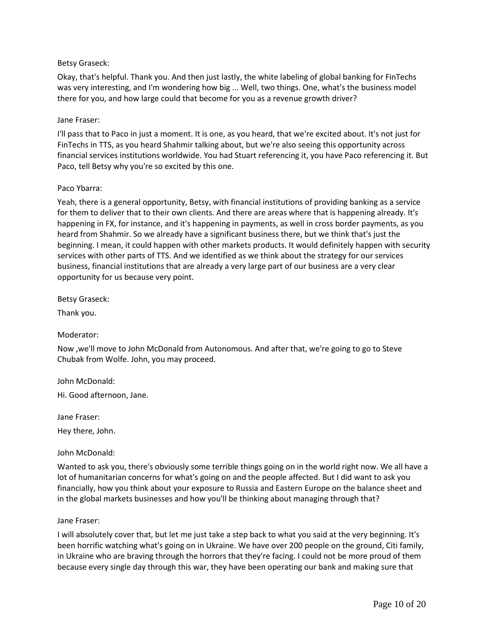# Betsy Graseck:

Okay, that's helpful. Thank you. And then just lastly, the white labeling of global banking for FinTechs was very interesting, and I'm wondering how big ... Well, two things. One, what's the business model there for you, and how large could that become for you as a revenue growth driver?

#### Jane Fraser:

I'll pass that to Paco in just a moment. It is one, as you heard, that we're excited about. It's not just for FinTechs in TTS, as you heard Shahmir talking about, but we're also seeing this opportunity across financial services institutions worldwide. You had Stuart referencing it, you have Paco referencing it. But Paco, tell Betsy why you're so excited by this one.

## Paco Ybarra:

Yeah, there is a general opportunity, Betsy, with financial institutions of providing banking as a service for them to deliver that to their own clients. And there are areas where that is happening already. It's happening in FX, for instance, and it's happening in payments, as well in cross border payments, as you heard from Shahmir. So we already have a significant business there, but we think that's just the beginning. I mean, it could happen with other markets products. It would definitely happen with security services with other parts of TTS. And we identified as we think about the strategy for our services business, financial institutions that are already a very large part of our business are a very clear opportunity for us because very point.

Betsy Graseck:

Thank you.

# Moderator:

Now ,we'll move to John McDonald from Autonomous. And after that, we're going to go to Steve Chubak from Wolfe. John, you may proceed.

John McDonald:

Hi. Good afternoon, Jane.

Jane Fraser: Hey there, John.

John McDonald:

Wanted to ask you, there's obviously some terrible things going on in the world right now. We all have a lot of humanitarian concerns for what's going on and the people affected. But I did want to ask you financially, how you think about your exposure to Russia and Eastern Europe on the balance sheet and in the global markets businesses and how you'll be thinking about managing through that?

#### Jane Fraser:

I will absolutely cover that, but let me just take a step back to what you said at the very beginning. It's been horrific watching what's going on in Ukraine. We have over 200 people on the ground, Citi family, in Ukraine who are braving through the horrors that they're facing. I could not be more proud of them because every single day through this war, they have been operating our bank and making sure that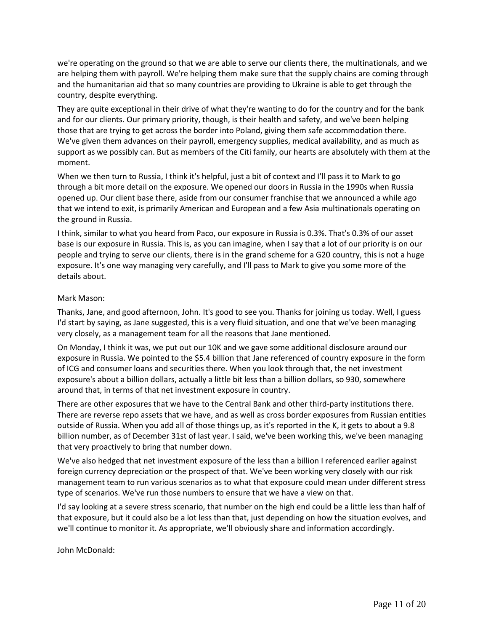we're operating on the ground so that we are able to serve our clients there, the multinationals, and we are helping them with payroll. We're helping them make sure that the supply chains are coming through and the humanitarian aid that so many countries are providing to Ukraine is able to get through the country, despite everything.

They are quite exceptional in their drive of what they're wanting to do for the country and for the bank and for our clients. Our primary priority, though, is their health and safety, and we've been helping those that are trying to get across the border into Poland, giving them safe accommodation there. We've given them advances on their payroll, emergency supplies, medical availability, and as much as support as we possibly can. But as members of the Citi family, our hearts are absolutely with them at the moment.

When we then turn to Russia, I think it's helpful, just a bit of context and I'll pass it to Mark to go through a bit more detail on the exposure. We opened our doors in Russia in the 1990s when Russia opened up. Our client base there, aside from our consumer franchise that we announced a while ago that we intend to exit, is primarily American and European and a few Asia multinationals operating on the ground in Russia.

I think, similar to what you heard from Paco, our exposure in Russia is 0.3%. That's 0.3% of our asset base is our exposure in Russia. This is, as you can imagine, when I say that a lot of our priority is on our people and trying to serve our clients, there is in the grand scheme for a G20 country, this is not a huge exposure. It's one way managing very carefully, and I'll pass to Mark to give you some more of the details about.

# Mark Mason:

Thanks, Jane, and good afternoon, John. It's good to see you. Thanks for joining us today. Well, I guess I'd start by saying, as Jane suggested, this is a very fluid situation, and one that we've been managing very closely, as a management team for all the reasons that Jane mentioned.

On Monday, I think it was, we put out our 10K and we gave some additional disclosure around our exposure in Russia. We pointed to the \$5.4 billion that Jane referenced of country exposure in the form of ICG and consumer loans and securities there. When you look through that, the net investment exposure's about a billion dollars, actually a little bit less than a billion dollars, so 930, somewhere around that, in terms of that net investment exposure in country.

There are other exposures that we have to the Central Bank and other third-party institutions there. There are reverse repo assets that we have, and as well as cross border exposures from Russian entities outside of Russia. When you add all of those things up, as it's reported in the K, it gets to about a 9.8 billion number, as of December 31st of last year. I said, we've been working this, we've been managing that very proactively to bring that number down.

We've also hedged that net investment exposure of the less than a billion I referenced earlier against foreign currency depreciation or the prospect of that. We've been working very closely with our risk management team to run various scenarios as to what that exposure could mean under different stress type of scenarios. We've run those numbers to ensure that we have a view on that.

I'd say looking at a severe stress scenario, that number on the high end could be a little less than half of that exposure, but it could also be a lot less than that, just depending on how the situation evolves, and we'll continue to monitor it. As appropriate, we'll obviously share and information accordingly.

John McDonald: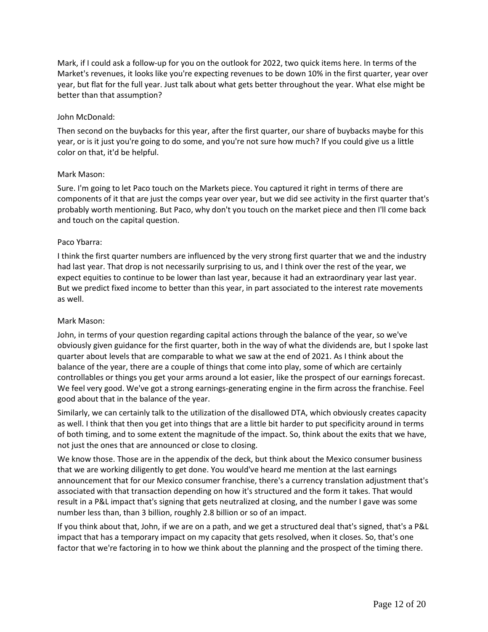Mark, if I could ask a follow-up for you on the outlook for 2022, two quick items here. In terms of the Market's revenues, it looks like you're expecting revenues to be down 10% in the first quarter, year over year, but flat for the full year. Just talk about what gets better throughout the year. What else might be better than that assumption?

## John McDonald:

Then second on the buybacks for this year, after the first quarter, our share of buybacks maybe for this year, or is it just you're going to do some, and you're not sure how much? If you could give us a little color on that, it'd be helpful.

## Mark Mason:

Sure. I'm going to let Paco touch on the Markets piece. You captured it right in terms of there are components of it that are just the comps year over year, but we did see activity in the first quarter that's probably worth mentioning. But Paco, why don't you touch on the market piece and then I'll come back and touch on the capital question.

## Paco Ybarra:

I think the first quarter numbers are influenced by the very strong first quarter that we and the industry had last year. That drop is not necessarily surprising to us, and I think over the rest of the year, we expect equities to continue to be lower than last year, because it had an extraordinary year last year. But we predict fixed income to better than this year, in part associated to the interest rate movements as well.

#### Mark Mason:

John, in terms of your question regarding capital actions through the balance of the year, so we've obviously given guidance for the first quarter, both in the way of what the dividends are, but I spoke last quarter about levels that are comparable to what we saw at the end of 2021. As I think about the balance of the year, there are a couple of things that come into play, some of which are certainly controllables or things you get your arms around a lot easier, like the prospect of our earnings forecast. We feel very good. We've got a strong earnings-generating engine in the firm across the franchise. Feel good about that in the balance of the year.

Similarly, we can certainly talk to the utilization of the disallowed DTA, which obviously creates capacity as well. I think that then you get into things that are a little bit harder to put specificity around in terms of both timing, and to some extent the magnitude of the impact. So, think about the exits that we have, not just the ones that are announced or close to closing.

We know those. Those are in the appendix of the deck, but think about the Mexico consumer business that we are working diligently to get done. You would've heard me mention at the last earnings announcement that for our Mexico consumer franchise, there's a currency translation adjustment that's associated with that transaction depending on how it's structured and the form it takes. That would result in a P&L impact that's signing that gets neutralized at closing, and the number I gave was some number less than, than 3 billion, roughly 2.8 billion or so of an impact.

If you think about that, John, if we are on a path, and we get a structured deal that's signed, that's a P&L impact that has a temporary impact on my capacity that gets resolved, when it closes. So, that's one factor that we're factoring in to how we think about the planning and the prospect of the timing there.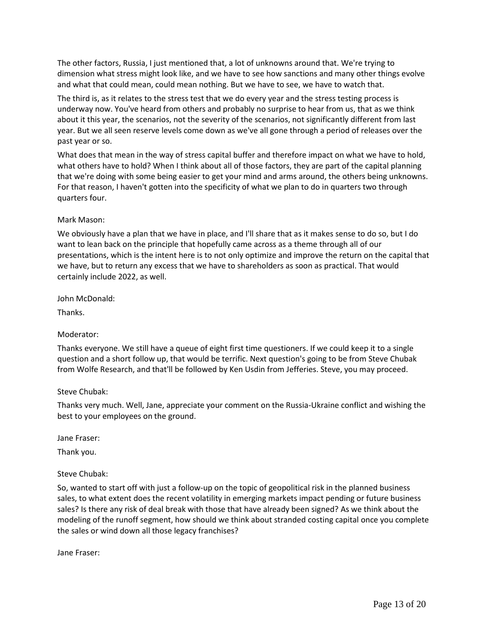The other factors, Russia, I just mentioned that, a lot of unknowns around that. We're trying to dimension what stress might look like, and we have to see how sanctions and many other things evolve and what that could mean, could mean nothing. But we have to see, we have to watch that.

The third is, as it relates to the stress test that we do every year and the stress testing process is underway now. You've heard from others and probably no surprise to hear from us, that as we think about it this year, the scenarios, not the severity of the scenarios, not significantly different from last year. But we all seen reserve levels come down as we've all gone through a period of releases over the past year or so.

What does that mean in the way of stress capital buffer and therefore impact on what we have to hold, what others have to hold? When I think about all of those factors, they are part of the capital planning that we're doing with some being easier to get your mind and arms around, the others being unknowns. For that reason, I haven't gotten into the specificity of what we plan to do in quarters two through quarters four.

# Mark Mason:

We obviously have a plan that we have in place, and I'll share that as it makes sense to do so, but I do want to lean back on the principle that hopefully came across as a theme through all of our presentations, which is the intent here is to not only optimize and improve the return on the capital that we have, but to return any excess that we have to shareholders as soon as practical. That would certainly include 2022, as well.

John McDonald:

Thanks.

# Moderator:

Thanks everyone. We still have a queue of eight first time questioners. If we could keep it to a single question and a short follow up, that would be terrific. Next question's going to be from Steve Chubak from Wolfe Research, and that'll be followed by Ken Usdin from Jefferies. Steve, you may proceed.

#### Steve Chubak:

Thanks very much. Well, Jane, appreciate your comment on the Russia-Ukraine conflict and wishing the best to your employees on the ground.

Jane Fraser:

Thank you.

Steve Chubak:

So, wanted to start off with just a follow-up on the topic of geopolitical risk in the planned business sales, to what extent does the recent volatility in emerging markets impact pending or future business sales? Is there any risk of deal break with those that have already been signed? As we think about the modeling of the runoff segment, how should we think about stranded costing capital once you complete the sales or wind down all those legacy franchises?

Jane Fraser: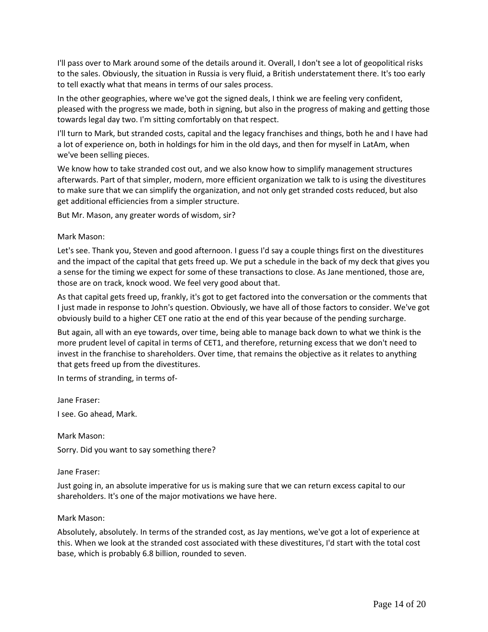I'll pass over to Mark around some of the details around it. Overall, I don't see a lot of geopolitical risks to the sales. Obviously, the situation in Russia is very fluid, a British understatement there. It's too early to tell exactly what that means in terms of our sales process.

In the other geographies, where we've got the signed deals, I think we are feeling very confident, pleased with the progress we made, both in signing, but also in the progress of making and getting those towards legal day two. I'm sitting comfortably on that respect.

I'll turn to Mark, but stranded costs, capital and the legacy franchises and things, both he and I have had a lot of experience on, both in holdings for him in the old days, and then for myself in LatAm, when we've been selling pieces.

We know how to take stranded cost out, and we also know how to simplify management structures afterwards. Part of that simpler, modern, more efficient organization we talk to is using the divestitures to make sure that we can simplify the organization, and not only get stranded costs reduced, but also get additional efficiencies from a simpler structure.

But Mr. Mason, any greater words of wisdom, sir?

## Mark Mason:

Let's see. Thank you, Steven and good afternoon. I guess I'd say a couple things first on the divestitures and the impact of the capital that gets freed up. We put a schedule in the back of my deck that gives you a sense for the timing we expect for some of these transactions to close. As Jane mentioned, those are, those are on track, knock wood. We feel very good about that.

As that capital gets freed up, frankly, it's got to get factored into the conversation or the comments that I just made in response to John's question. Obviously, we have all of those factors to consider. We've got obviously build to a higher CET one ratio at the end of this year because of the pending surcharge.

But again, all with an eye towards, over time, being able to manage back down to what we think is the more prudent level of capital in terms of CET1, and therefore, returning excess that we don't need to invest in the franchise to shareholders. Over time, that remains the objective as it relates to anything that gets freed up from the divestitures.

In terms of stranding, in terms of-

Jane Fraser:

I see. Go ahead, Mark.

Mark Mason:

Sorry. Did you want to say something there?

#### Jane Fraser:

Just going in, an absolute imperative for us is making sure that we can return excess capital to our shareholders. It's one of the major motivations we have here.

#### Mark Mason:

Absolutely, absolutely. In terms of the stranded cost, as Jay mentions, we've got a lot of experience at this. When we look at the stranded cost associated with these divestitures, I'd start with the total cost base, which is probably 6.8 billion, rounded to seven.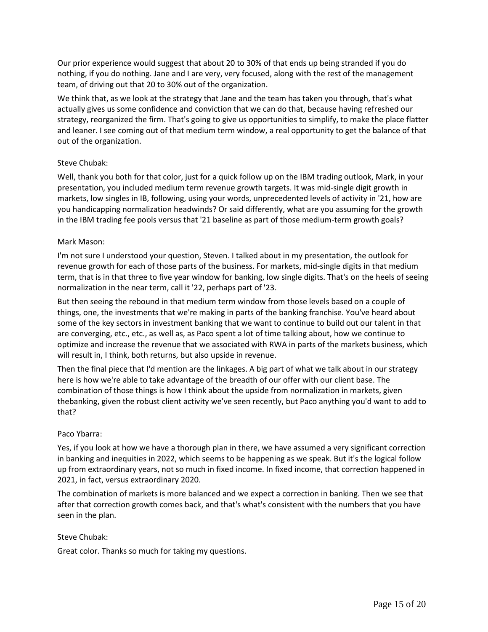Our prior experience would suggest that about 20 to 30% of that ends up being stranded if you do nothing, if you do nothing. Jane and I are very, very focused, along with the rest of the management team, of driving out that 20 to 30% out of the organization.

We think that, as we look at the strategy that Jane and the team has taken you through, that's what actually gives us some confidence and conviction that we can do that, because having refreshed our strategy, reorganized the firm. That's going to give us opportunities to simplify, to make the place flatter and leaner. I see coming out of that medium term window, a real opportunity to get the balance of that out of the organization.

# Steve Chubak:

Well, thank you both for that color, just for a quick follow up on the IBM trading outlook, Mark, in your presentation, you included medium term revenue growth targets. It was mid-single digit growth in markets, low singles in IB, following, using your words, unprecedented levels of activity in '21, how are you handicapping normalization headwinds? Or said differently, what are you assuming for the growth in the IBM trading fee pools versus that '21 baseline as part of those medium-term growth goals?

# Mark Mason:

I'm not sure I understood your question, Steven. I talked about in my presentation, the outlook for revenue growth for each of those parts of the business. For markets, mid-single digits in that medium term, that is in that three to five year window for banking, low single digits. That's on the heels of seeing normalization in the near term, call it '22, perhaps part of '23.

But then seeing the rebound in that medium term window from those levels based on a couple of things, one, the investments that we're making in parts of the banking franchise. You've heard about some of the key sectors in investment banking that we want to continue to build out our talent in that are converging, etc., etc., as well as, as Paco spent a lot of time talking about, how we continue to optimize and increase the revenue that we associated with RWA in parts of the markets business, which will result in, I think, both returns, but also upside in revenue.

Then the final piece that I'd mention are the linkages. A big part of what we talk about in our strategy here is how we're able to take advantage of the breadth of our offer with our client base. The combination of those things is how I think about the upside from normalization in markets, given thebanking, given the robust client activity we've seen recently, but Paco anything you'd want to add to that?

# Paco Ybarra:

Yes, if you look at how we have a thorough plan in there, we have assumed a very significant correction in banking and inequities in 2022, which seems to be happening as we speak. But it's the logical follow up from extraordinary years, not so much in fixed income. In fixed income, that correction happened in 2021, in fact, versus extraordinary 2020.

The combination of markets is more balanced and we expect a correction in banking. Then we see that after that correction growth comes back, and that's what's consistent with the numbers that you have seen in the plan.

# Steve Chubak:

Great color. Thanks so much for taking my questions.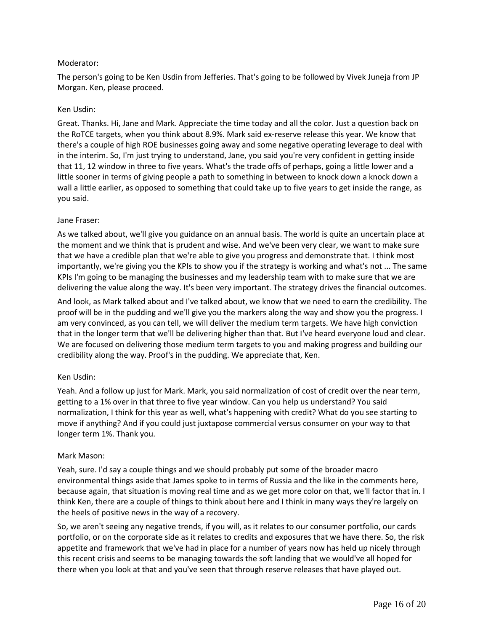# Moderator:

The person's going to be Ken Usdin from Jefferies. That's going to be followed by Vivek Juneja from JP Morgan. Ken, please proceed.

## Ken Usdin:

Great. Thanks. Hi, Jane and Mark. Appreciate the time today and all the color. Just a question back on the RoTCE targets, when you think about 8.9%. Mark said ex-reserve release this year. We know that there's a couple of high ROE businesses going away and some negative operating leverage to deal with in the interim. So, I'm just trying to understand, Jane, you said you're very confident in getting inside that 11, 12 window in three to five years. What's the trade offs of perhaps, going a little lower and a little sooner in terms of giving people a path to something in between to knock down a knock down a wall a little earlier, as opposed to something that could take up to five years to get inside the range, as you said.

#### Jane Fraser:

As we talked about, we'll give you guidance on an annual basis. The world is quite an uncertain place at the moment and we think that is prudent and wise. And we've been very clear, we want to make sure that we have a credible plan that we're able to give you progress and demonstrate that. I think most importantly, we're giving you the KPIs to show you if the strategy is working and what's not ... The same KPIs I'm going to be managing the businesses and my leadership team with to make sure that we are delivering the value along the way. It's been very important. The strategy drives the financial outcomes.

And look, as Mark talked about and I've talked about, we know that we need to earn the credibility. The proof will be in the pudding and we'll give you the markers along the way and show you the progress. I am very convinced, as you can tell, we will deliver the medium term targets. We have high conviction that in the longer term that we'll be delivering higher than that. But I've heard everyone loud and clear. We are focused on delivering those medium term targets to you and making progress and building our credibility along the way. Proof's in the pudding. We appreciate that, Ken.

# Ken Usdin:

Yeah. And a follow up just for Mark. Mark, you said normalization of cost of credit over the near term, getting to a 1% over in that three to five year window. Can you help us understand? You said normalization, I think for this year as well, what's happening with credit? What do you see starting to move if anything? And if you could just juxtapose commercial versus consumer on your way to that longer term 1%. Thank you.

#### Mark Mason:

Yeah, sure. I'd say a couple things and we should probably put some of the broader macro environmental things aside that James spoke to in terms of Russia and the like in the comments here, because again, that situation is moving real time and as we get more color on that, we'll factor that in. I think Ken, there are a couple of things to think about here and I think in many ways they're largely on the heels of positive news in the way of a recovery.

So, we aren't seeing any negative trends, if you will, as it relates to our consumer portfolio, our cards portfolio, or on the corporate side as it relates to credits and exposures that we have there. So, the risk appetite and framework that we've had in place for a number of years now has held up nicely through this recent crisis and seems to be managing towards the soft landing that we would've all hoped for there when you look at that and you've seen that through reserve releases that have played out.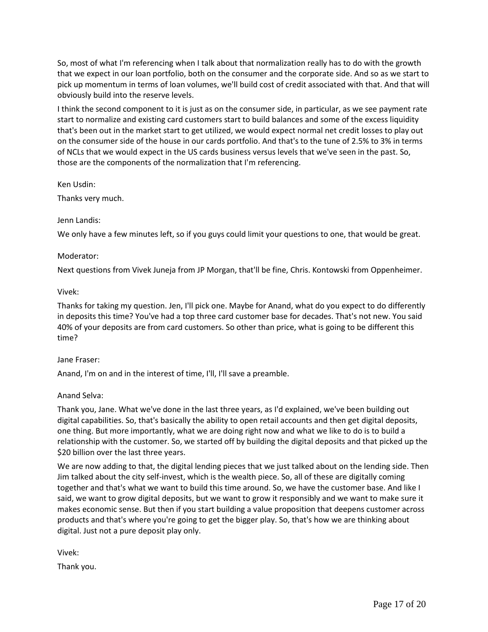So, most of what I'm referencing when I talk about that normalization really has to do with the growth that we expect in our loan portfolio, both on the consumer and the corporate side. And so as we start to pick up momentum in terms of loan volumes, we'll build cost of credit associated with that. And that will obviously build into the reserve levels.

I think the second component to it is just as on the consumer side, in particular, as we see payment rate start to normalize and existing card customers start to build balances and some of the excess liquidity that's been out in the market start to get utilized, we would expect normal net credit losses to play out on the consumer side of the house in our cards portfolio. And that's to the tune of 2.5% to 3% in terms of NCLs that we would expect in the US cards business versus levels that we've seen in the past. So, those are the components of the normalization that I'm referencing.

Ken Usdin:

Thanks very much.

## Jenn Landis:

We only have a few minutes left, so if you guys could limit your questions to one, that would be great.

## Moderator:

Next questions from Vivek Juneja from JP Morgan, that'll be fine, Chris. Kontowski from Oppenheimer.

## Vivek:

Thanks for taking my question. Jen, I'll pick one. Maybe for Anand, what do you expect to do differently in deposits this time? You've had a top three card customer base for decades. That's not new. You said 40% of your deposits are from card customers. So other than price, what is going to be different this time?

#### Jane Fraser:

Anand, I'm on and in the interest of time, I'll, I'll save a preamble.

# Anand Selva:

Thank you, Jane. What we've done in the last three years, as I'd explained, we've been building out digital capabilities. So, that's basically the ability to open retail accounts and then get digital deposits, one thing. But more importantly, what we are doing right now and what we like to do is to build a relationship with the customer. So, we started off by building the digital deposits and that picked up the \$20 billion over the last three years.

We are now adding to that, the digital lending pieces that we just talked about on the lending side. Then Jim talked about the city self-invest, which is the wealth piece. So, all of these are digitally coming together and that's what we want to build this time around. So, we have the customer base. And like I said, we want to grow digital deposits, but we want to grow it responsibly and we want to make sure it makes economic sense. But then if you start building a value proposition that deepens customer across products and that's where you're going to get the bigger play. So, that's how we are thinking about digital. Just not a pure deposit play only.

Vivek:

Thank you.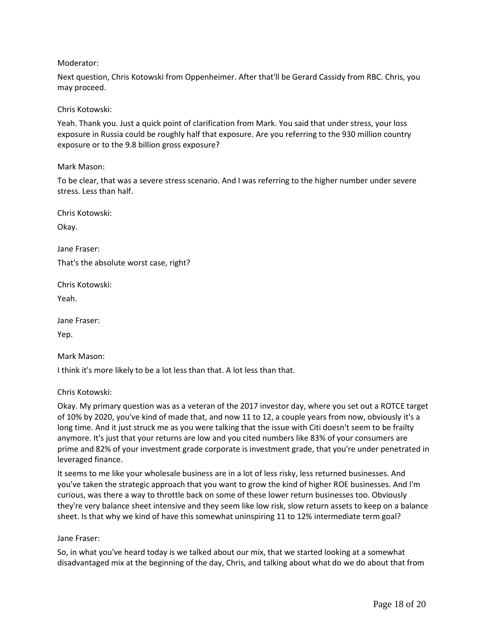## Moderator:

Next question, Chris Kotowski from Oppenheimer. After that'll be Gerard Cassidy from RBC. Chris, you may proceed.

## Chris Kotowski:

Yeah. Thank you. Just a quick point of clarification from Mark. You said that under stress, your loss exposure in Russia could be roughly half that exposure. Are you referring to the 930 million country exposure or to the 9.8 billion gross exposure?

## Mark Mason:

To be clear, that was a severe stress scenario. And I was referring to the higher number under severe stress. Less than half.

Chris Kotowski:

Okay.

Jane Fraser: That's the absolute worst case, right?

Chris Kotowski:

Yeah.

Jane Fraser:

Yep.

Mark Mason:

I think it's more likely to be a lot less than that. A lot less than that.

#### Chris Kotowski:

Okay. My primary question was as a veteran of the 2017 investor day, where you set out a ROTCE target of 10% by 2020, you've kind of made that, and now 11 to 12, a couple years from now, obviously it's a long time. And it just struck me as you were talking that the issue with Citi doesn't seem to be frailty anymore. It's just that your returns are low and you cited numbers like 83% of your consumers are prime and 82% of your investment grade corporate is investment grade, that you're under penetrated in leveraged finance.

It seems to me like your wholesale business are in a lot of less risky, less returned businesses. And you've taken the strategic approach that you want to grow the kind of higher ROE businesses. And I'm curious, was there a way to throttle back on some of these lower return businesses too. Obviously they're very balance sheet intensive and they seem like low risk, slow return assets to keep on a balance sheet. Is that why we kind of have this somewhat uninspiring 11 to 12% intermediate term goal?

#### Jane Fraser:

So, in what you've heard today is we talked about our mix, that we started looking at a somewhat disadvantaged mix at the beginning of the day, Chris, and talking about what do we do about that from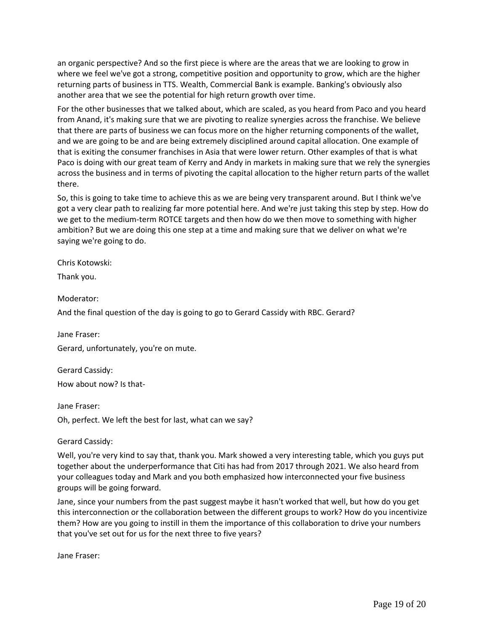an organic perspective? And so the first piece is where are the areas that we are looking to grow in where we feel we've got a strong, competitive position and opportunity to grow, which are the higher returning parts of business in TTS. Wealth, Commercial Bank is example. Banking's obviously also another area that we see the potential for high return growth over time.

For the other businesses that we talked about, which are scaled, as you heard from Paco and you heard from Anand, it's making sure that we are pivoting to realize synergies across the franchise. We believe that there are parts of business we can focus more on the higher returning components of the wallet, and we are going to be and are being extremely disciplined around capital allocation. One example of that is exiting the consumer franchises in Asia that were lower return. Other examples of that is what Paco is doing with our great team of Kerry and Andy in markets in making sure that we rely the synergies across the business and in terms of pivoting the capital allocation to the higher return parts of the wallet there.

So, this is going to take time to achieve this as we are being very transparent around. But I think we've got a very clear path to realizing far more potential here. And we're just taking this step by step. How do we get to the medium-term ROTCE targets and then how do we then move to something with higher ambition? But we are doing this one step at a time and making sure that we deliver on what we're saying we're going to do.

Chris Kotowski:

Thank you.

Moderator:

And the final question of the day is going to go to Gerard Cassidy with RBC. Gerard?

Jane Fraser: Gerard, unfortunately, you're on mute.

Gerard Cassidy: How about now? Is that-

Jane Fraser:

Oh, perfect. We left the best for last, what can we say?

Gerard Cassidy:

Well, you're very kind to say that, thank you. Mark showed a very interesting table, which you guys put together about the underperformance that Citi has had from 2017 through 2021. We also heard from your colleagues today and Mark and you both emphasized how interconnected your five business groups will be going forward.

Jane, since your numbers from the past suggest maybe it hasn't worked that well, but how do you get this interconnection or the collaboration between the different groups to work? How do you incentivize them? How are you going to instill in them the importance of this collaboration to drive your numbers that you've set out for us for the next three to five years?

Jane Fraser: